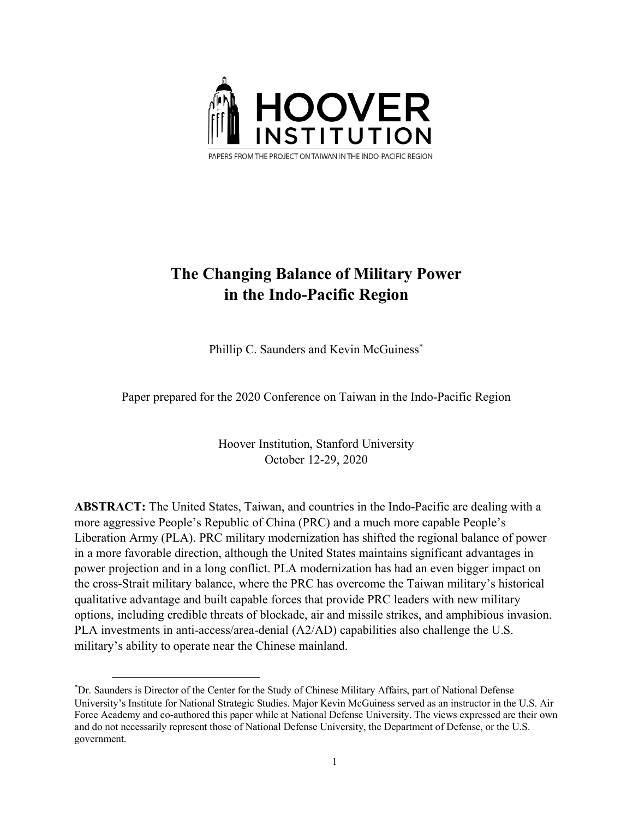

# **The Changing Balance of Military Power in the Indo-Pacific Region**

Phillip C. Saunders and Kevin McGuiness<sup>\*</sup>

Paper prepared for the 2020 Conference on Taiwan in the Indo-Pacific Region

Hoover Institution, Stanford University October 12-29, 2020

**ABSTRACT:** The United States, Taiwan, and countries in the Indo-Pacific are dealing with a more aggressive People's Republic of China (PRC) and a much more capable People's Liberation Army (PLA). PRC military modernization has shifted the regional balance of power in a more favorable direction, although the United States maintains significant advantages in power projection and in a long conflict. PLA modernization has had an even bigger impact on the cross-Strait military balance, where the PRC has overcome the Taiwan military's historical qualitative advantage and built capable forces that provide PRC leaders with new military options, including credible threats of blockade, air and missile strikes, and amphibious invasion. PLA investments in anti-access/area-denial (A2/AD) capabilities also challenge the U.S. military's ability to operate near the Chinese mainland.

 $\overline{a}$ 

<sup>\*</sup> Dr. Saunders is Director of the Center for the Study of Chinese Military Affairs, part of National Defense University's Institute for National Strategic Studies. Major Kevin McGuiness served as an instructor in the U.S. Air Force Academy and co-authored this paper while at National Defense University. The views expressed are their own and do not necessarily represent those of National Defense University, the Department of Defense, or the U.S. government.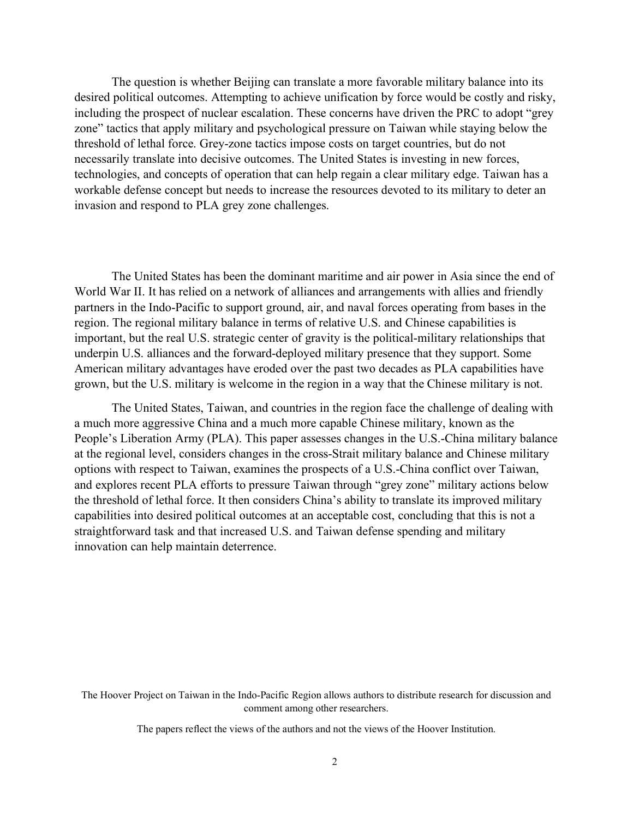The question is whether Beijing can translate a more favorable military balance into its desired political outcomes. Attempting to achieve unification by force would be costly and risky, including the prospect of nuclear escalation. These concerns have driven the PRC to adopt "grey zone" tactics that apply military and psychological pressure on Taiwan while staying below the threshold of lethal force. Grey-zone tactics impose costs on target countries, but do not necessarily translate into decisive outcomes. The United States is investing in new forces, technologies, and concepts of operation that can help regain a clear military edge. Taiwan has a workable defense concept but needs to increase the resources devoted to its military to deter an invasion and respond to PLA grey zone challenges.

The United States has been the dominant maritime and air power in Asia since the end of World War II. It has relied on a network of alliances and arrangements with allies and friendly partners in the Indo-Pacific to support ground, air, and naval forces operating from bases in the region. The regional military balance in terms of relative U.S. and Chinese capabilities is important, but the real U.S. strategic center of gravity is the political-military relationships that underpin U.S. alliances and the forward-deployed military presence that they support. Some American military advantages have eroded over the past two decades as PLA capabilities have grown, but the U.S. military is welcome in the region in a way that the Chinese military is not.

The United States, Taiwan, and countries in the region face the challenge of dealing with a much more aggressive China and a much more capable Chinese military, known as the People's Liberation Army (PLA). This paper assesses changes in the U.S.-China military balance at the regional level, considers changes in the cross-Strait military balance and Chinese military options with respect to Taiwan, examines the prospects of a U.S.-China conflict over Taiwan, and explores recent PLA efforts to pressure Taiwan through "grey zone" military actions below the threshold of lethal force. It then considers China's ability to translate its improved military capabilities into desired political outcomes at an acceptable cost, concluding that this is not a straightforward task and that increased U.S. and Taiwan defense spending and military innovation can help maintain deterrence.

The Hoover Project on Taiwan in the Indo-Pacific Region allows authors to distribute research for discussion and comment among other researchers.

The papers reflect the views of the authors and not the views of the Hoover Institution.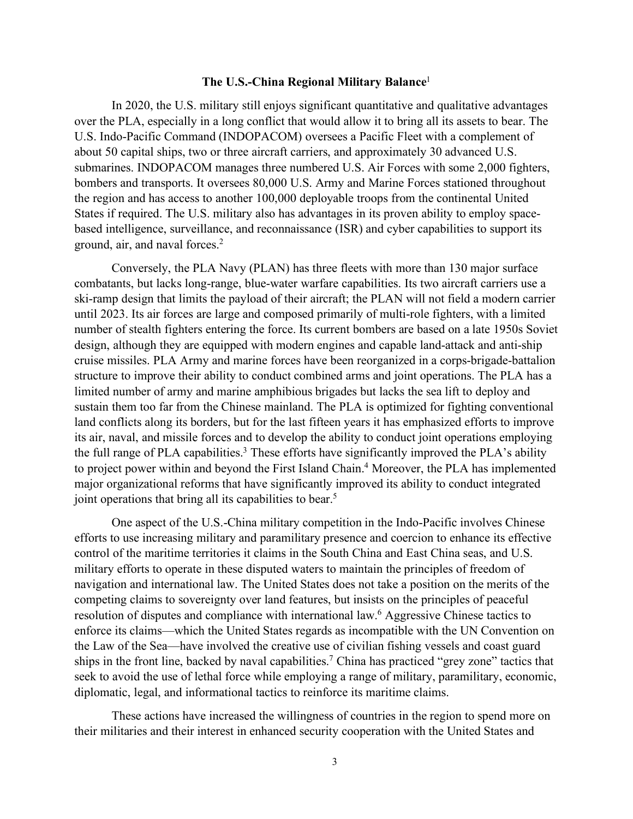## **The U.S.-China Regional Military Balance**<sup>1</sup>

In 2020, the U.S. military still enjoys significant quantitative and qualitative advantages over the PLA, especially in a long conflict that would allow it to bring all its assets to bear. The U.S. Indo-Pacific Command (INDOPACOM) oversees a Pacific Fleet with a complement of about 50 capital ships, two or three aircraft carriers, and approximately 30 advanced U.S. submarines. INDOPACOM manages three numbered U.S. Air Forces with some 2,000 fighters, bombers and transports. It oversees 80,000 U.S. Army and Marine Forces stationed throughout the region and has access to another 100,000 deployable troops from the continental United States if required. The U.S. military also has advantages in its proven ability to employ spacebased intelligence, surveillance, and reconnaissance (ISR) and cyber capabilities to support its ground, air, and naval forces.2

Conversely, the PLA Navy (PLAN) has three fleets with more than 130 major surface combatants, but lacks long-range, blue-water warfare capabilities. Its two aircraft carriers use a ski-ramp design that limits the payload of their aircraft; the PLAN will not field a modern carrier until 2023. Its air forces are large and composed primarily of multi-role fighters, with a limited number of stealth fighters entering the force. Its current bombers are based on a late 1950s Soviet design, although they are equipped with modern engines and capable land-attack and anti-ship cruise missiles. PLA Army and marine forces have been reorganized in a corps-brigade-battalion structure to improve their ability to conduct combined arms and joint operations. The PLA has a limited number of army and marine amphibious brigades but lacks the sea lift to deploy and sustain them too far from the Chinese mainland. The PLA is optimized for fighting conventional land conflicts along its borders, but for the last fifteen years it has emphasized efforts to improve its air, naval, and missile forces and to develop the ability to conduct joint operations employing the full range of PLA capabilities.<sup>3</sup> These efforts have significantly improved the PLA's ability to project power within and beyond the First Island Chain.<sup>4</sup> Moreover, the PLA has implemented major organizational reforms that have significantly improved its ability to conduct integrated joint operations that bring all its capabilities to bear.<sup>5</sup>

One aspect of the U.S.-China military competition in the Indo-Pacific involves Chinese efforts to use increasing military and paramilitary presence and coercion to enhance its effective control of the maritime territories it claims in the South China and East China seas, and U.S. military efforts to operate in these disputed waters to maintain the principles of freedom of navigation and international law. The United States does not take a position on the merits of the competing claims to sovereignty over land features, but insists on the principles of peaceful resolution of disputes and compliance with international law.6 Aggressive Chinese tactics to enforce its claims—which the United States regards as incompatible with the UN Convention on the Law of the Sea—have involved the creative use of civilian fishing vessels and coast guard ships in the front line, backed by naval capabilities.7 China has practiced "grey zone" tactics that seek to avoid the use of lethal force while employing a range of military, paramilitary, economic, diplomatic, legal, and informational tactics to reinforce its maritime claims.

These actions have increased the willingness of countries in the region to spend more on their militaries and their interest in enhanced security cooperation with the United States and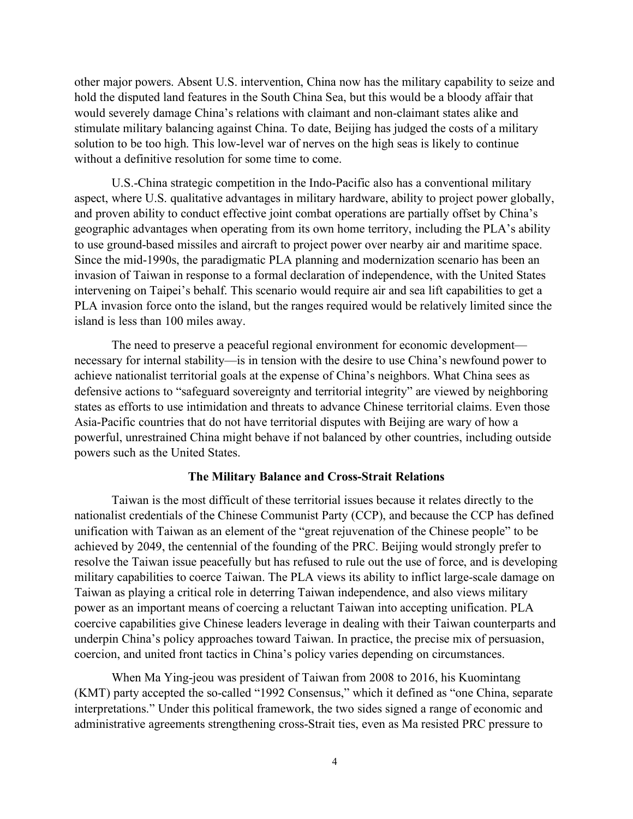other major powers. Absent U.S. intervention, China now has the military capability to seize and hold the disputed land features in the South China Sea, but this would be a bloody affair that would severely damage China's relations with claimant and non-claimant states alike and stimulate military balancing against China. To date, Beijing has judged the costs of a military solution to be too high. This low-level war of nerves on the high seas is likely to continue without a definitive resolution for some time to come.

U.S.-China strategic competition in the Indo-Pacific also has a conventional military aspect, where U.S. qualitative advantages in military hardware, ability to project power globally, and proven ability to conduct effective joint combat operations are partially offset by China's geographic advantages when operating from its own home territory, including the PLA's ability to use ground-based missiles and aircraft to project power over nearby air and maritime space. Since the mid-1990s, the paradigmatic PLA planning and modernization scenario has been an invasion of Taiwan in response to a formal declaration of independence, with the United States intervening on Taipei's behalf. This scenario would require air and sea lift capabilities to get a PLA invasion force onto the island, but the ranges required would be relatively limited since the island is less than 100 miles away.

The need to preserve a peaceful regional environment for economic development necessary for internal stability—is in tension with the desire to use China's newfound power to achieve nationalist territorial goals at the expense of China's neighbors. What China sees as defensive actions to "safeguard sovereignty and territorial integrity" are viewed by neighboring states as efforts to use intimidation and threats to advance Chinese territorial claims. Even those Asia-Pacific countries that do not have territorial disputes with Beijing are wary of how a powerful, unrestrained China might behave if not balanced by other countries, including outside powers such as the United States.

### **The Military Balance and Cross-Strait Relations**

Taiwan is the most difficult of these territorial issues because it relates directly to the nationalist credentials of the Chinese Communist Party (CCP), and because the CCP has defined unification with Taiwan as an element of the "great rejuvenation of the Chinese people" to be achieved by 2049, the centennial of the founding of the PRC. Beijing would strongly prefer to resolve the Taiwan issue peacefully but has refused to rule out the use of force, and is developing military capabilities to coerce Taiwan. The PLA views its ability to inflict large-scale damage on Taiwan as playing a critical role in deterring Taiwan independence, and also views military power as an important means of coercing a reluctant Taiwan into accepting unification. PLA coercive capabilities give Chinese leaders leverage in dealing with their Taiwan counterparts and underpin China's policy approaches toward Taiwan. In practice, the precise mix of persuasion, coercion, and united front tactics in China's policy varies depending on circumstances.

When Ma Ying-jeou was president of Taiwan from 2008 to 2016, his Kuomintang (KMT) party accepted the so-called "1992 Consensus," which it defined as "one China, separate interpretations." Under this political framework, the two sides signed a range of economic and administrative agreements strengthening cross-Strait ties, even as Ma resisted PRC pressure to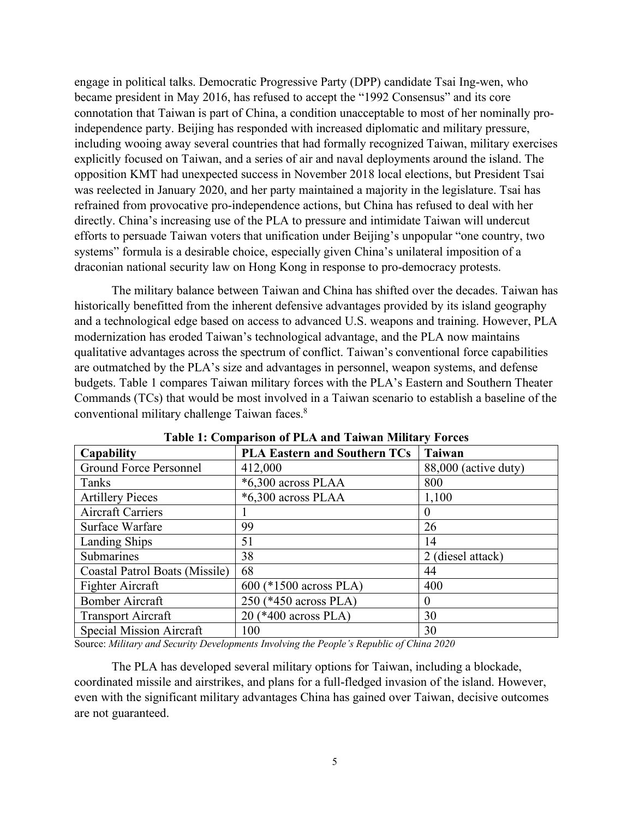engage in political talks. Democratic Progressive Party (DPP) candidate Tsai Ing-wen, who became president in May 2016, has refused to accept the "1992 Consensus" and its core connotation that Taiwan is part of China, a condition unacceptable to most of her nominally proindependence party. Beijing has responded with increased diplomatic and military pressure, including wooing away several countries that had formally recognized Taiwan, military exercises explicitly focused on Taiwan, and a series of air and naval deployments around the island. The opposition KMT had unexpected success in November 2018 local elections, but President Tsai was reelected in January 2020, and her party maintained a majority in the legislature. Tsai has refrained from provocative pro-independence actions, but China has refused to deal with her directly. China's increasing use of the PLA to pressure and intimidate Taiwan will undercut efforts to persuade Taiwan voters that unification under Beijing's unpopular "one country, two systems" formula is a desirable choice, especially given China's unilateral imposition of a draconian national security law on Hong Kong in response to pro-democracy protests.

The military balance between Taiwan and China has shifted over the decades. Taiwan has historically benefitted from the inherent defensive advantages provided by its island geography and a technological edge based on access to advanced U.S. weapons and training. However, PLA modernization has eroded Taiwan's technological advantage, and the PLA now maintains qualitative advantages across the spectrum of conflict. Taiwan's conventional force capabilities are outmatched by the PLA's size and advantages in personnel, weapon systems, and defense budgets. Table 1 compares Taiwan military forces with the PLA's Eastern and Southern Theater Commands (TCs) that would be most involved in a Taiwan scenario to establish a baseline of the conventional military challenge Taiwan faces.8

| <b>Capability</b>              | <b>PLA Eastern and Southern TCs</b> | <b>Taiwan</b>        |
|--------------------------------|-------------------------------------|----------------------|
| Ground Force Personnel         | 412,000                             | 88,000 (active duty) |
| Tanks                          | $*6,300$ across PLAA                | 800                  |
| <b>Artillery Pieces</b>        | *6,300 across PLAA                  | 1,100                |
| <b>Aircraft Carriers</b>       |                                     | 0                    |
| Surface Warfare                | 99                                  | 26                   |
| <b>Landing Ships</b>           | 51                                  | 14                   |
| Submarines                     | 38                                  | 2 (diesel attack)    |
| Coastal Patrol Boats (Missile) | 68                                  | 44                   |
| Fighter Aircraft               | 600 (*1500 across PLA)              | 400                  |
| <b>Bomber Aircraft</b>         | 250 (*450 across PLA)               | $\Omega$             |
| <b>Transport Aircraft</b>      | 20 (*400 across PLA)                | 30                   |
| Special Mission Aircraft       | 100                                 | 30                   |

**Table 1: Comparison of PLA and Taiwan Military Forces**

Source: *Military and Security Developments Involving the People's Republic of China 2020*

The PLA has developed several military options for Taiwan, including a blockade, coordinated missile and airstrikes, and plans for a full-fledged invasion of the island. However, even with the significant military advantages China has gained over Taiwan, decisive outcomes are not guaranteed.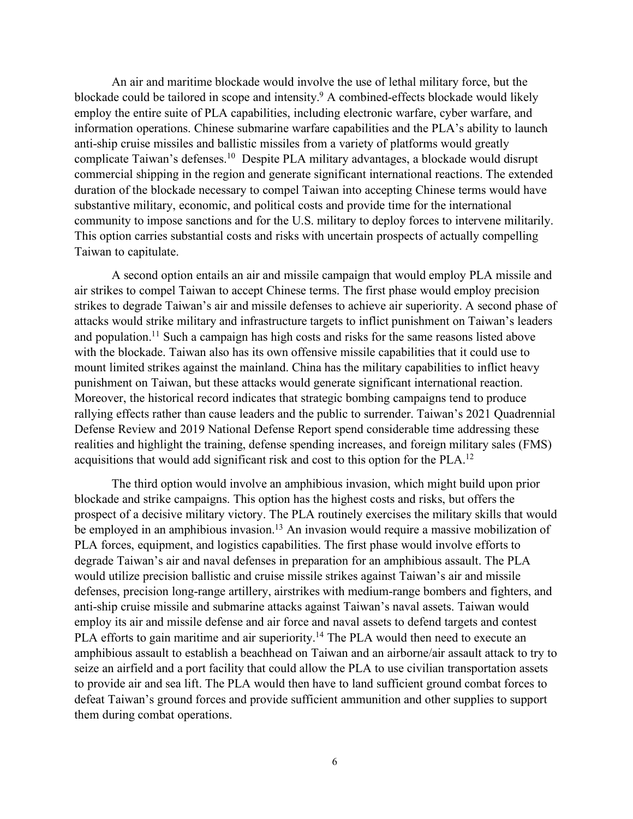An air and maritime blockade would involve the use of lethal military force, but the blockade could be tailored in scope and intensity.9 A combined-effects blockade would likely employ the entire suite of PLA capabilities, including electronic warfare, cyber warfare, and information operations. Chinese submarine warfare capabilities and the PLA's ability to launch anti-ship cruise missiles and ballistic missiles from a variety of platforms would greatly complicate Taiwan's defenses.10 Despite PLA military advantages, a blockade would disrupt commercial shipping in the region and generate significant international reactions. The extended duration of the blockade necessary to compel Taiwan into accepting Chinese terms would have substantive military, economic, and political costs and provide time for the international community to impose sanctions and for the U.S. military to deploy forces to intervene militarily. This option carries substantial costs and risks with uncertain prospects of actually compelling Taiwan to capitulate.

A second option entails an air and missile campaign that would employ PLA missile and air strikes to compel Taiwan to accept Chinese terms. The first phase would employ precision strikes to degrade Taiwan's air and missile defenses to achieve air superiority. A second phase of attacks would strike military and infrastructure targets to inflict punishment on Taiwan's leaders and population.<sup>11</sup> Such a campaign has high costs and risks for the same reasons listed above with the blockade. Taiwan also has its own offensive missile capabilities that it could use to mount limited strikes against the mainland. China has the military capabilities to inflict heavy punishment on Taiwan, but these attacks would generate significant international reaction. Moreover, the historical record indicates that strategic bombing campaigns tend to produce rallying effects rather than cause leaders and the public to surrender. Taiwan's 2021 Quadrennial Defense Review and 2019 National Defense Report spend considerable time addressing these realities and highlight the training, defense spending increases, and foreign military sales (FMS) acquisitions that would add significant risk and cost to this option for the PLA.12

The third option would involve an amphibious invasion, which might build upon prior blockade and strike campaigns. This option has the highest costs and risks, but offers the prospect of a decisive military victory. The PLA routinely exercises the military skills that would be employed in an amphibious invasion.<sup>13</sup> An invasion would require a massive mobilization of PLA forces, equipment, and logistics capabilities. The first phase would involve efforts to degrade Taiwan's air and naval defenses in preparation for an amphibious assault. The PLA would utilize precision ballistic and cruise missile strikes against Taiwan's air and missile defenses, precision long-range artillery, airstrikes with medium-range bombers and fighters, and anti-ship cruise missile and submarine attacks against Taiwan's naval assets. Taiwan would employ its air and missile defense and air force and naval assets to defend targets and contest PLA efforts to gain maritime and air superiority.<sup>14</sup> The PLA would then need to execute an amphibious assault to establish a beachhead on Taiwan and an airborne/air assault attack to try to seize an airfield and a port facility that could allow the PLA to use civilian transportation assets to provide air and sea lift. The PLA would then have to land sufficient ground combat forces to defeat Taiwan's ground forces and provide sufficient ammunition and other supplies to support them during combat operations.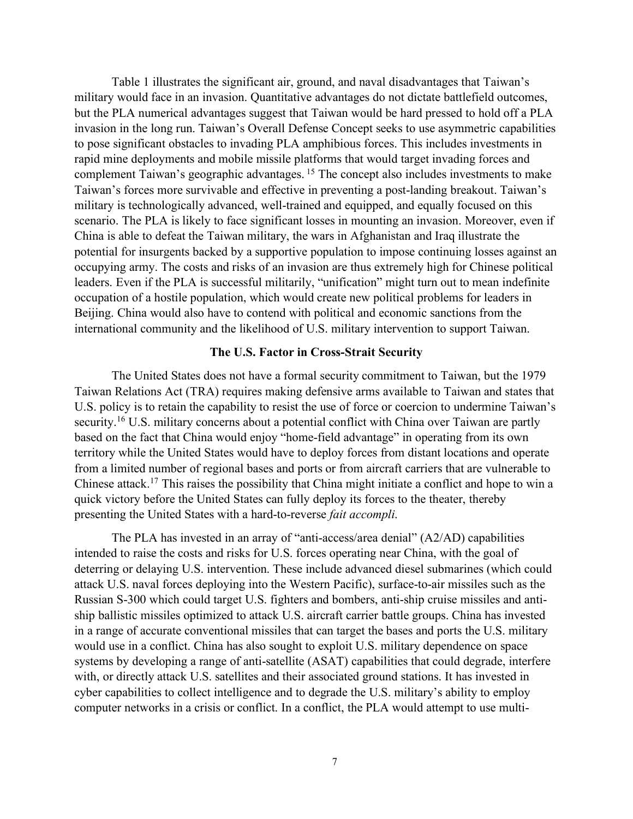Table 1 illustrates the significant air, ground, and naval disadvantages that Taiwan's military would face in an invasion. Quantitative advantages do not dictate battlefield outcomes, but the PLA numerical advantages suggest that Taiwan would be hard pressed to hold off a PLA invasion in the long run. Taiwan's Overall Defense Concept seeks to use asymmetric capabilities to pose significant obstacles to invading PLA amphibious forces. This includes investments in rapid mine deployments and mobile missile platforms that would target invading forces and complement Taiwan's geographic advantages.<sup>15</sup> The concept also includes investments to make Taiwan's forces more survivable and effective in preventing a post-landing breakout. Taiwan's military is technologically advanced, well-trained and equipped, and equally focused on this scenario. The PLA is likely to face significant losses in mounting an invasion. Moreover, even if China is able to defeat the Taiwan military, the wars in Afghanistan and Iraq illustrate the potential for insurgents backed by a supportive population to impose continuing losses against an occupying army. The costs and risks of an invasion are thus extremely high for Chinese political leaders. Even if the PLA is successful militarily, "unification" might turn out to mean indefinite occupation of a hostile population, which would create new political problems for leaders in Beijing. China would also have to contend with political and economic sanctions from the international community and the likelihood of U.S. military intervention to support Taiwan.

#### **The U.S. Factor in Cross-Strait Security**

The United States does not have a formal security commitment to Taiwan, but the 1979 Taiwan Relations Act (TRA) requires making defensive arms available to Taiwan and states that U.S. policy is to retain the capability to resist the use of force or coercion to undermine Taiwan's security.<sup>16</sup> U.S. military concerns about a potential conflict with China over Taiwan are partly based on the fact that China would enjoy "home-field advantage" in operating from its own territory while the United States would have to deploy forces from distant locations and operate from a limited number of regional bases and ports or from aircraft carriers that are vulnerable to Chinese attack.17 This raises the possibility that China might initiate a conflict and hope to win a quick victory before the United States can fully deploy its forces to the theater, thereby presenting the United States with a hard-to-reverse *fait accompli*.

The PLA has invested in an array of "anti-access/area denial" (A2/AD) capabilities intended to raise the costs and risks for U.S. forces operating near China, with the goal of deterring or delaying U.S. intervention. These include advanced diesel submarines (which could attack U.S. naval forces deploying into the Western Pacific), surface-to-air missiles such as the Russian S-300 which could target U.S. fighters and bombers, anti-ship cruise missiles and antiship ballistic missiles optimized to attack U.S. aircraft carrier battle groups. China has invested in a range of accurate conventional missiles that can target the bases and ports the U.S. military would use in a conflict. China has also sought to exploit U.S. military dependence on space systems by developing a range of anti-satellite (ASAT) capabilities that could degrade, interfere with, or directly attack U.S. satellites and their associated ground stations. It has invested in cyber capabilities to collect intelligence and to degrade the U.S. military's ability to employ computer networks in a crisis or conflict. In a conflict, the PLA would attempt to use multi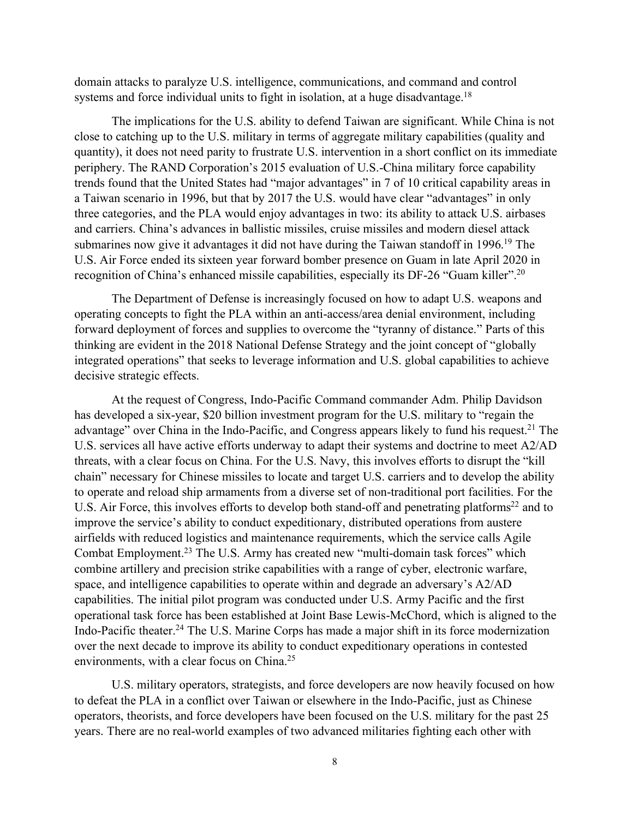domain attacks to paralyze U.S. intelligence, communications, and command and control systems and force individual units to fight in isolation, at a huge disadvantage.<sup>18</sup>

The implications for the U.S. ability to defend Taiwan are significant. While China is not close to catching up to the U.S. military in terms of aggregate military capabilities (quality and quantity), it does not need parity to frustrate U.S. intervention in a short conflict on its immediate periphery. The RAND Corporation's 2015 evaluation of U.S.-China military force capability trends found that the United States had "major advantages" in 7 of 10 critical capability areas in a Taiwan scenario in 1996, but that by 2017 the U.S. would have clear "advantages" in only three categories, and the PLA would enjoy advantages in two: its ability to attack U.S. airbases and carriers. China's advances in ballistic missiles, cruise missiles and modern diesel attack submarines now give it advantages it did not have during the Taiwan standoff in 1996.<sup>19</sup> The U.S. Air Force ended its sixteen year forward bomber presence on Guam in late April 2020 in recognition of China's enhanced missile capabilities, especially its DF-26 "Guam killer".20

The Department of Defense is increasingly focused on how to adapt U.S. weapons and operating concepts to fight the PLA within an anti-access/area denial environment, including forward deployment of forces and supplies to overcome the "tyranny of distance." Parts of this thinking are evident in the 2018 National Defense Strategy and the joint concept of "globally integrated operations" that seeks to leverage information and U.S. global capabilities to achieve decisive strategic effects.

At the request of Congress, Indo-Pacific Command commander Adm. Philip Davidson has developed a six-year, \$20 billion investment program for the U.S. military to "regain the advantage" over China in the Indo-Pacific, and Congress appears likely to fund his request.<sup>21</sup> The U.S. services all have active efforts underway to adapt their systems and doctrine to meet A2/AD threats, with a clear focus on China. For the U.S. Navy, this involves efforts to disrupt the "kill chain" necessary for Chinese missiles to locate and target U.S. carriers and to develop the ability to operate and reload ship armaments from a diverse set of non-traditional port facilities. For the U.S. Air Force, this involves efforts to develop both stand-off and penetrating platforms<sup>22</sup> and to improve the service's ability to conduct expeditionary, distributed operations from austere airfields with reduced logistics and maintenance requirements, which the service calls Agile Combat Employment. <sup>23</sup> The U.S. Army has created new "multi-domain task forces" which combine artillery and precision strike capabilities with a range of cyber, electronic warfare, space, and intelligence capabilities to operate within and degrade an adversary's A2/AD capabilities. The initial pilot program was conducted under U.S. Army Pacific and the first operational task force has been established at Joint Base Lewis-McChord, which is aligned to the Indo-Pacific theater.24 The U.S. Marine Corps has made a major shift in its force modernization over the next decade to improve its ability to conduct expeditionary operations in contested environments, with a clear focus on China.<sup>25</sup>

U.S. military operators, strategists, and force developers are now heavily focused on how to defeat the PLA in a conflict over Taiwan or elsewhere in the Indo-Pacific, just as Chinese operators, theorists, and force developers have been focused on the U.S. military for the past 25 years. There are no real-world examples of two advanced militaries fighting each other with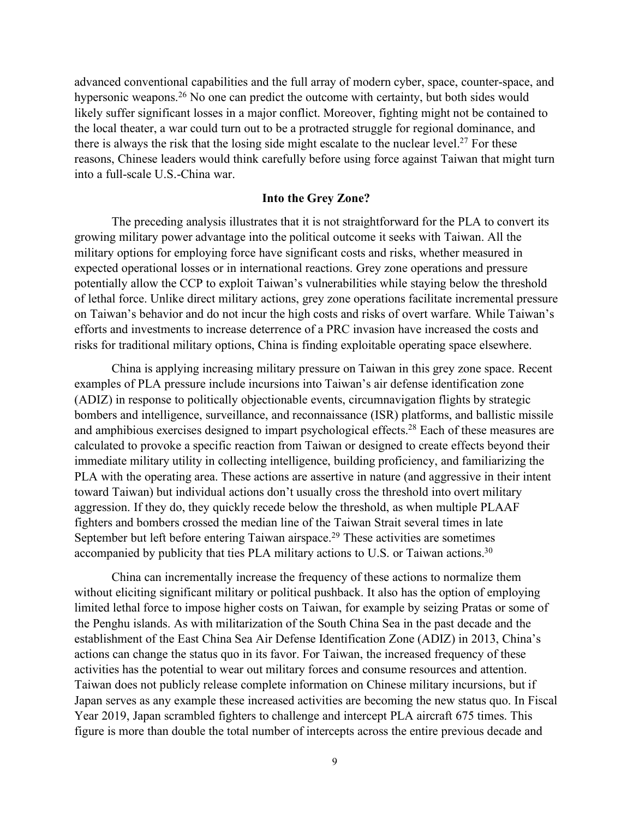advanced conventional capabilities and the full array of modern cyber, space, counter-space, and hypersonic weapons.<sup>26</sup> No one can predict the outcome with certainty, but both sides would likely suffer significant losses in a major conflict. Moreover, fighting might not be contained to the local theater, a war could turn out to be a protracted struggle for regional dominance, and there is always the risk that the losing side might escalate to the nuclear level.<sup>27</sup> For these reasons, Chinese leaders would think carefully before using force against Taiwan that might turn into a full-scale U.S.-China war.

# **Into the Grey Zone?**

The preceding analysis illustrates that it is not straightforward for the PLA to convert its growing military power advantage into the political outcome it seeks with Taiwan. All the military options for employing force have significant costs and risks, whether measured in expected operational losses or in international reactions. Grey zone operations and pressure potentially allow the CCP to exploit Taiwan's vulnerabilities while staying below the threshold of lethal force. Unlike direct military actions, grey zone operations facilitate incremental pressure on Taiwan's behavior and do not incur the high costs and risks of overt warfare. While Taiwan's efforts and investments to increase deterrence of a PRC invasion have increased the costs and risks for traditional military options, China is finding exploitable operating space elsewhere.

China is applying increasing military pressure on Taiwan in this grey zone space. Recent examples of PLA pressure include incursions into Taiwan's air defense identification zone (ADIZ) in response to politically objectionable events, circumnavigation flights by strategic bombers and intelligence, surveillance, and reconnaissance (ISR) platforms, and ballistic missile and amphibious exercises designed to impart psychological effects.<sup>28</sup> Each of these measures are calculated to provoke a specific reaction from Taiwan or designed to create effects beyond their immediate military utility in collecting intelligence, building proficiency, and familiarizing the PLA with the operating area. These actions are assertive in nature (and aggressive in their intent toward Taiwan) but individual actions don't usually cross the threshold into overt military aggression. If they do, they quickly recede below the threshold, as when multiple PLAAF fighters and bombers crossed the median line of the Taiwan Strait several times in late September but left before entering Taiwan airspace. <sup>29</sup> These activities are sometimes accompanied by publicity that ties PLA military actions to U.S. or Taiwan actions.<sup>30</sup>

China can incrementally increase the frequency of these actions to normalize them without eliciting significant military or political pushback. It also has the option of employing limited lethal force to impose higher costs on Taiwan, for example by seizing Pratas or some of the Penghu islands. As with militarization of the South China Sea in the past decade and the establishment of the East China Sea Air Defense Identification Zone (ADIZ) in 2013, China's actions can change the status quo in its favor. For Taiwan, the increased frequency of these activities has the potential to wear out military forces and consume resources and attention. Taiwan does not publicly release complete information on Chinese military incursions, but if Japan serves as any example these increased activities are becoming the new status quo. In Fiscal Year 2019, Japan scrambled fighters to challenge and intercept PLA aircraft 675 times. This figure is more than double the total number of intercepts across the entire previous decade and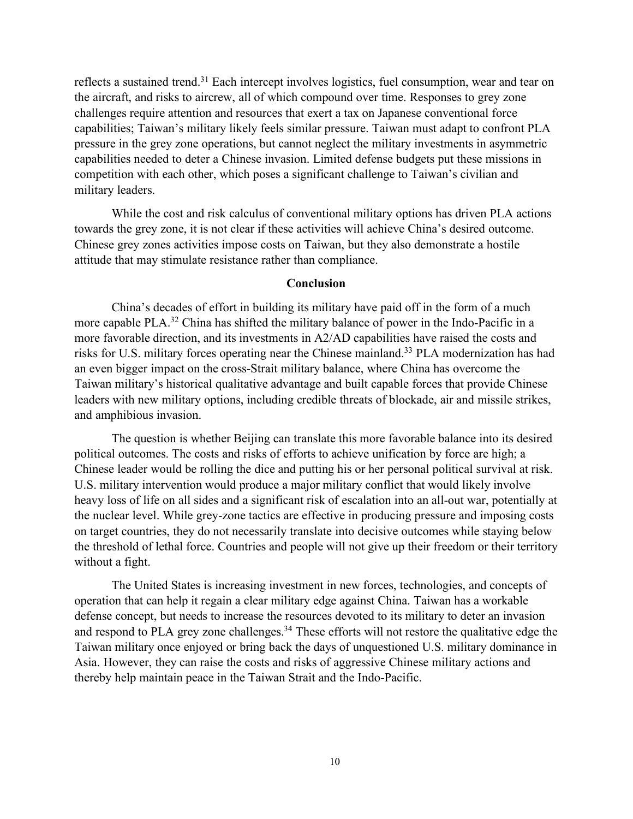reflects a sustained trend.31 Each intercept involves logistics, fuel consumption, wear and tear on the aircraft, and risks to aircrew, all of which compound over time. Responses to grey zone challenges require attention and resources that exert a tax on Japanese conventional force capabilities; Taiwan's military likely feels similar pressure. Taiwan must adapt to confront PLA pressure in the grey zone operations, but cannot neglect the military investments in asymmetric capabilities needed to deter a Chinese invasion. Limited defense budgets put these missions in competition with each other, which poses a significant challenge to Taiwan's civilian and military leaders.

While the cost and risk calculus of conventional military options has driven PLA actions towards the grey zone, it is not clear if these activities will achieve China's desired outcome. Chinese grey zones activities impose costs on Taiwan, but they also demonstrate a hostile attitude that may stimulate resistance rather than compliance.

## **Conclusion**

China's decades of effort in building its military have paid off in the form of a much more capable PLA.<sup>32</sup> China has shifted the military balance of power in the Indo-Pacific in a more favorable direction, and its investments in A2/AD capabilities have raised the costs and risks for U.S. military forces operating near the Chinese mainland.33 PLA modernization has had an even bigger impact on the cross-Strait military balance, where China has overcome the Taiwan military's historical qualitative advantage and built capable forces that provide Chinese leaders with new military options, including credible threats of blockade, air and missile strikes, and amphibious invasion.

The question is whether Beijing can translate this more favorable balance into its desired political outcomes. The costs and risks of efforts to achieve unification by force are high; a Chinese leader would be rolling the dice and putting his or her personal political survival at risk. U.S. military intervention would produce a major military conflict that would likely involve heavy loss of life on all sides and a significant risk of escalation into an all-out war, potentially at the nuclear level. While grey-zone tactics are effective in producing pressure and imposing costs on target countries, they do not necessarily translate into decisive outcomes while staying below the threshold of lethal force. Countries and people will not give up their freedom or their territory without a fight.

The United States is increasing investment in new forces, technologies, and concepts of operation that can help it regain a clear military edge against China. Taiwan has a workable defense concept, but needs to increase the resources devoted to its military to deter an invasion and respond to PLA grey zone challenges.<sup>34</sup> These efforts will not restore the qualitative edge the Taiwan military once enjoyed or bring back the days of unquestioned U.S. military dominance in Asia. However, they can raise the costs and risks of aggressive Chinese military actions and thereby help maintain peace in the Taiwan Strait and the Indo-Pacific.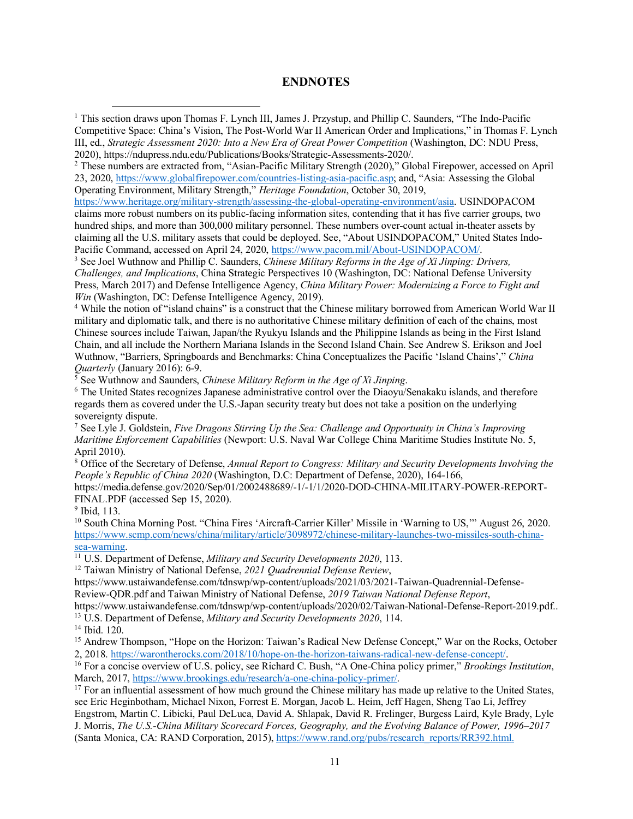# **ENDNOTES**

<sup>2</sup> These numbers are extracted from, "Asian-Pacific Military Strength (2020)," Global Firepower, accessed on April 23, 2020, https://www.globalfirepower.com/countries-listing-asia-pacific.asp; and, "Asia: Assessing the Global Operating Environment, Military Strength," *Heritage Foundation*, October 30, 2019,

https://www.heritage.org/military-strength/assessing-the-global-operating-environment/asia. USINDOPACOM claims more robust numbers on its public-facing information sites, contending that it has five carrier groups, two hundred ships, and more than 300,000 military personnel. These numbers over-count actual in-theater assets by claiming all the U.S. military assets that could be deployed. See, "About USINDOPACOM," United States Indo-Pacific Command, accessed on April 24, 2020, https://www.pacom.mil/About-USINDOPACOM/.

<sup>3</sup> See Joel Wuthnow and Phillip C. Saunders, *Chinese Military Reforms in the Age of Xi Jinping: Drivers, Challenges, and Implications*, China Strategic Perspectives 10 (Washington, DC: National Defense University Press, March 2017) and Defense Intelligence Agency, *China Military Power: Modernizing a Force to Fight and Win* (Washington, DC: Defense Intelligence Agency, 2019).

<sup>4</sup> While the notion of "island chains" is a construct that the Chinese military borrowed from American World War II military and diplomatic talk, and there is no authoritative Chinese military definition of each of the chains, most Chinese sources include Taiwan, Japan/the Ryukyu Islands and the Philippine Islands as being in the First Island Chain, and all include the Northern Mariana Islands in the Second Island Chain. See Andrew S. Erikson and Joel Wuthnow, "Barriers, Springboards and Benchmarks: China Conceptualizes the Pacific 'Island Chains'," *China* 

 $\sqrt[5]{\}$  See Wuthnow and Saunders, *Chinese Military Reform in the Age of Xi Jinping*.

<sup>6</sup> The United States recognizes Japanese administrative control over the Diaoyu/Senakaku islands, and therefore regards them as covered under the U.S.-Japan security treaty but does not take a position on the underlying sovereignty dispute.

<sup>7</sup> See Lyle J. Goldstein, *Five Dragons Stirring Up the Sea: Challenge and Opportunity in China's Improving Maritime Enforcement Capabilities* (Newport: U.S. Naval War College China Maritime Studies Institute No. 5, April 2010).

<sup>8</sup> Office of the Secretary of Defense, *Annual Report to Congress: Military and Security Developments Involving the People's Republic of China 2020* (Washington, D.C: Department of Defense, 2020), 164-166,

https://media.defense.gov/2020/Sep/01/2002488689/-1/-1/1/2020-DOD-CHINA-MILITARY-POWER-REPORT-FINAL.PDF (accessed Sep 15, 2020).

<sup>9</sup> Ibid, 113.

 $\overline{a}$ 

<sup>10</sup> South China Morning Post. "China Fires 'Aircraft-Carrier Killer' Missile in 'Warning to US,'" August 26, 2020. https://www.scmp.com/news/china/military/article/3098972/chinese-military-launches-two-missiles-south-chinasea-warning.

<sup>11</sup> U.S. Department of Defense, *Military and Security Developments 2020*, 113.

<sup>12</sup> Taiwan Ministry of National Defense, *2021 Quadrennial Defense Review*,

https://www.ustaiwandefense.com/tdnswp/wp-content/uploads/2021/03/2021-Taiwan-Quadrennial-Defense-Review-QDR.pdf and Taiwan Ministry of National Defense, *2019 Taiwan National Defense Report*,

https://www.ustaiwandefense.com/tdnswp/wp-content/uploads/2020/02/Taiwan-National-Defense-Report-2019.pdf.. <sup>13</sup> U.S. Department of Defense, *Military and Security Developments 2020*, 114.

<sup>14</sup> Ibid. 120.

<sup>15</sup> Andrew Thompson, "Hope on the Horizon: Taiwan's Radical New Defense Concept," War on the Rocks, October 2, 2018. https://warontherocks.com/2018/10/hope-on-the-horizon-taiwans-radical-new-defense-concept/.

<sup>16</sup> For a concise overview of U.S. policy, see Richard C. Bush, "A One-China policy primer," *Brookings Institution*, March, 2017, https://www.brookings.edu/research/a-one-china-policy-primer/.<br><sup>17</sup> For an influential assessment of how much ground the Chinese military has made up relative to the United States,

see Eric Heginbotham, Michael Nixon, Forrest E. Morgan, Jacob L. Heim, Jeff Hagen, Sheng Tao Li, Jeffrey Engstrom, Martin C. Libicki, Paul DeLuca, David A. Shlapak, David R. Frelinger, Burgess Laird, Kyle Brady, Lyle J. Morris, *The U.S.-China Military Scorecard Forces, Geography, and the Evolving Balance of Power, 1996–2017* (Santa Monica, CA: RAND Corporation, 2015), https://www.rand.org/pubs/research\_reports/RR392.html.

<sup>1</sup> This section draws upon Thomas F. Lynch III, James J. Przystup, and Phillip C. Saunders, "The Indo-Pacific Competitive Space: China's Vision, The Post-World War II American Order and Implications," in Thomas F. Lynch III, ed., *Strategic Assessment 2020: Into a New Era of Great Power Competition* (Washington, DC: NDU Press, 2020), https://ndupress.ndu.edu/Publications/Books/Strategic-Assessments-2020/.